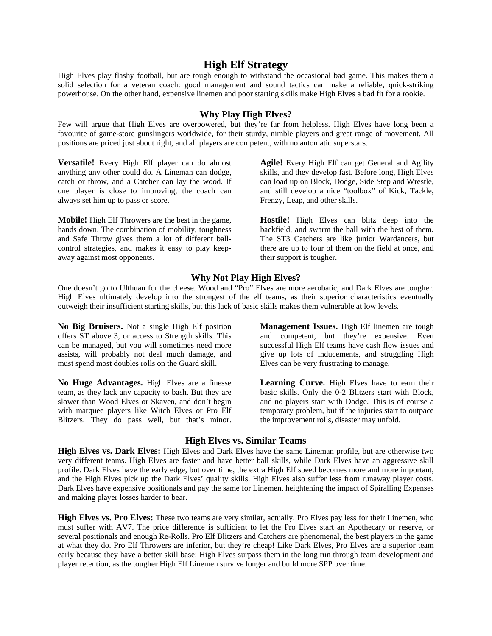## **High Elf Strategy**

High Elves play flashy football, but are tough enough to withstand the occasional bad game. This makes them a solid selection for a veteran coach: good management and sound tactics can make a reliable, quick-striking powerhouse. On the other hand, expensive linemen and poor starting skills make High Elves a bad fit for a rookie.

## **Why Play High Elves?**

Few will argue that High Elves are overpowered, but they're far from helpless. High Elves have long been a favourite of game-store gunslingers worldwide, for their sturdy, nimble players and great range of movement. All positions are priced just about right, and all players are competent, with no automatic superstars.

**Versatile!** Every High Elf player can do almost anything any other could do. A Lineman can dodge, catch or throw, and a Catcher can lay the wood. If one player is close to improving, the coach can always set him up to pass or score.

**Mobile!** High Elf Throwers are the best in the game, hands down. The combination of mobility, toughness and Safe Throw gives them a lot of different ballcontrol strategies, and makes it easy to play keepaway against most opponents.

**Agile!** Every High Elf can get General and Agility skills, and they develop fast. Before long, High Elves can load up on Block, Dodge, Side Step and Wrestle, and still develop a nice "toolbox" of Kick, Tackle, Frenzy, Leap, and other skills.

**Hostile!** High Elves can blitz deep into the backfield, and swarm the ball with the best of them. The ST3 Catchers are like junior Wardancers, but there are up to four of them on the field at once, and their support is tougher.

### **Why Not Play High Elves?**

One doesn't go to Ulthuan for the cheese. Wood and "Pro" Elves are more aerobatic, and Dark Elves are tougher. High Elves ultimately develop into the strongest of the elf teams, as their superior characteristics eventually outweigh their insufficient starting skills, but this lack of basic skills makes them vulnerable at low levels.

**No Big Bruisers.** Not a single High Elf position offers ST above 3, or access to Strength skills. This can be managed, but you will sometimes need more assists, will probably not deal much damage, and must spend most doubles rolls on the Guard skill.

**No Huge Advantages.** High Elves are a finesse team, as they lack any capacity to bash. But they are slower than Wood Elves or Skaven, and don't begin with marquee players like Witch Elves or Pro Elf Blitzers. They do pass well, but that's minor.

**Management Issues.** High Elf linemen are tough and competent, but they're expensive. Even successful High Elf teams have cash flow issues and give up lots of inducements, and struggling High Elves can be very frustrating to manage.

**Learning Curve.** High Elves have to earn their basic skills. Only the 0-2 Blitzers start with Block, and no players start with Dodge. This is of course a temporary problem, but if the injuries start to outpace the improvement rolls, disaster may unfold.

## **High Elves vs. Similar Teams**

**High Elves vs. Dark Elves:** High Elves and Dark Elves have the same Lineman profile, but are otherwise two very different teams. High Elves are faster and have better ball skills, while Dark Elves have an aggressive skill profile. Dark Elves have the early edge, but over time, the extra High Elf speed becomes more and more important, and the High Elves pick up the Dark Elves' quality skills. High Elves also suffer less from runaway player costs. Dark Elves have expensive positionals and pay the same for Linemen, heightening the impact of Spiralling Expenses and making player losses harder to bear.

**High Elves vs. Pro Elves:** These two teams are very similar, actually. Pro Elves pay less for their Linemen, who must suffer with AV7. The price difference is sufficient to let the Pro Elves start an Apothecary or reserve, or several positionals and enough Re-Rolls. Pro Elf Blitzers and Catchers are phenomenal, the best players in the game at what they do. Pro Elf Throwers are inferior, but they're cheap! Like Dark Elves, Pro Elves are a superior team early because they have a better skill base: High Elves surpass them in the long run through team development and player retention, as the tougher High Elf Linemen survive longer and build more SPP over time.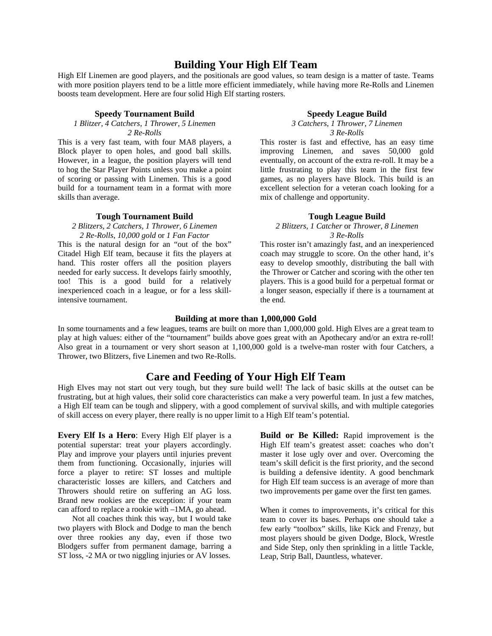## **Building Your High Elf Team**

High Elf Linemen are good players, and the positionals are good values, so team design is a matter of taste. Teams with more position players tend to be a little more efficient immediately, while having more Re-Rolls and Linemen boosts team development. Here are four solid High Elf starting rosters.

#### **Speedy Tournament Build**

# *1 Blitzer, 4 Catchers, 1 Thrower, 5 Linemen*

*2 Re-Rolls* 

This is a very fast team, with four MA8 players, a Block player to open holes, and good ball skills. However, in a league, the position players will tend to hog the Star Player Points unless you make a point of scoring or passing with Linemen. This is a good build for a tournament team in a format with more skills than average.

#### **Tough Tournament Build**

#### *2 Blitzers, 2 Catchers, 1 Thrower, 6 Linemen 2 Re-Rolls*, *10,000 gold* or *1 Fan Factor*

This is the natural design for an "out of the box" Citadel High Elf team, because it fits the players at hand. This roster offers all the position players needed for early success. It develops fairly smoothly, too! This is a good build for a relatively inexperienced coach in a league, or for a less skillintensive tournament.

#### **Speedy League Build**

*3 Catchers, 1 Thrower, 7 Linemen 3 Re-Rolls*

This roster is fast and effective, has an easy time improving Linemen, and saves 50,000 gold eventually, on account of the extra re-roll. It may be a little frustrating to play this team in the first few games, as no players have Block. This build is an excellent selection for a veteran coach looking for a mix of challenge and opportunity.

## **Tough League Build**

#### *2 Blitzers, 1 Catcher* or *Thrower, 8 Linemen 3 Re-Rolls*

This roster isn't amazingly fast, and an inexperienced coach may struggle to score. On the other hand, it's easy to develop smoothly, distributing the ball with the Thrower or Catcher and scoring with the other ten players. This is a good build for a perpetual format or a longer season, especially if there is a tournament at the end.

#### **Building at more than 1,000,000 Gold**

In some tournaments and a few leagues, teams are built on more than 1,000,000 gold. High Elves are a great team to play at high values: either of the "tournament" builds above goes great with an Apothecary and/or an extra re-roll! Also great in a tournament or very short season at 1,100,000 gold is a twelve-man roster with four Catchers, a Thrower, two Blitzers, five Linemen and two Re-Rolls.

## **Care and Feeding of Your High Elf Team**

High Elves may not start out very tough, but they sure build well! The lack of basic skills at the outset can be frustrating, but at high values, their solid core characteristics can make a very powerful team. In just a few matches, a High Elf team can be tough and slippery, with a good complement of survival skills, and with multiple categories of skill access on every player, there really is no upper limit to a High Elf team's potential.

**Every Elf Is a Hero**: Every High Elf player is a potential superstar: treat your players accordingly. Play and improve your players until injuries prevent them from functioning. Occasionally, injuries will force a player to retire: ST losses and multiple characteristic losses are killers, and Catchers and Throwers should retire on suffering an AG loss. Brand new rookies are the exception: if your team can afford to replace a rookie with –1MA, go ahead.

Not all coaches think this way, but I would take two players with Block and Dodge to man the bench over three rookies any day, even if those two Blodgers suffer from permanent damage, barring a ST loss, -2 MA or two niggling injuries or AV losses.

**Build or Be Killed:** Rapid improvement is the High Elf team's greatest asset: coaches who don't master it lose ugly over and over. Overcoming the team's skill deficit is the first priority, and the second is building a defensive identity. A good benchmark for High Elf team success is an average of more than two improvements per game over the first ten games.

When it comes to improvements, it's critical for this team to cover its bases. Perhaps one should take a few early "toolbox" skills, like Kick and Frenzy, but most players should be given Dodge, Block, Wrestle and Side Step, only then sprinkling in a little Tackle, Leap, Strip Ball, Dauntless, whatever.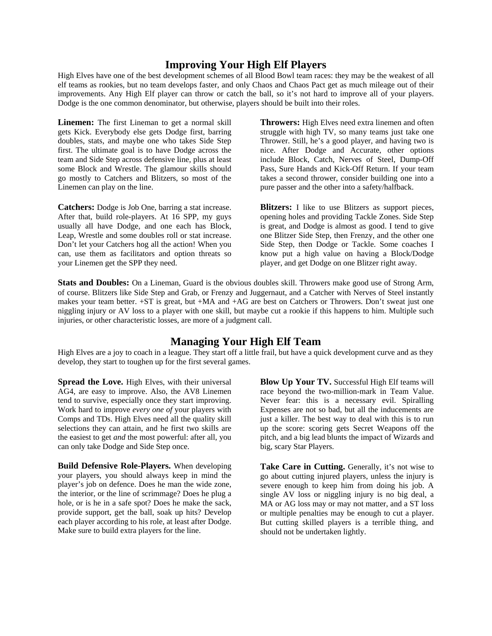# **Improving Your High Elf Players**

High Elves have one of the best development schemes of all Blood Bowl team races: they may be the weakest of all elf teams as rookies, but no team develops faster, and only Chaos and Chaos Pact get as much mileage out of their improvements. Any High Elf player can throw or catch the ball, so it's not hard to improve all of your players. Dodge is the one common denominator, but otherwise, players should be built into their roles.

**Linemen:** The first Lineman to get a normal skill gets Kick. Everybody else gets Dodge first, barring doubles, stats, and maybe one who takes Side Step first. The ultimate goal is to have Dodge across the team and Side Step across defensive line, plus at least some Block and Wrestle. The glamour skills should go mostly to Catchers and Blitzers, so most of the Linemen can play on the line.

**Catchers:** Dodge is Job One, barring a stat increase. After that, build role-players. At 16 SPP, my guys usually all have Dodge, and one each has Block, Leap, Wrestle and some doubles roll or stat increase. Don't let your Catchers hog all the action! When you can, use them as facilitators and option threats so your Linemen get the SPP they need.

**Throwers:** High Elves need extra linemen and often struggle with high TV, so many teams just take one Thrower. Still, he's a good player, and having two is nice. After Dodge and Accurate, other options include Block, Catch, Nerves of Steel, Dump-Off Pass, Sure Hands and Kick-Off Return. If your team takes a second thrower, consider building one into a pure passer and the other into a safety/halfback.

**Blitzers:** I like to use Blitzers as support pieces, opening holes and providing Tackle Zones. Side Step is great, and Dodge is almost as good. I tend to give one Blitzer Side Step, then Frenzy, and the other one Side Step, then Dodge or Tackle. Some coaches I know put a high value on having a Block/Dodge player, and get Dodge on one Blitzer right away.

**Stats and Doubles:** On a Lineman, Guard is the obvious doubles skill. Throwers make good use of Strong Arm, of course. Blitzers like Side Step and Grab, or Frenzy and Juggernaut, and a Catcher with Nerves of Steel instantly makes your team better. +ST is great, but +MA and +AG are best on Catchers or Throwers. Don't sweat just one niggling injury or AV loss to a player with one skill, but maybe cut a rookie if this happens to him. Multiple such injuries, or other characteristic losses, are more of a judgment call.

# **Managing Your High Elf Team**

High Elves are a joy to coach in a league. They start off a little frail, but have a quick development curve and as they develop, they start to toughen up for the first several games.

**Spread the Love.** High Elves, with their universal AG4, are easy to improve. Also, the AV8 Linemen tend to survive, especially once they start improving. Work hard to improve *every one of* your players with Comps and TDs. High Elves need all the quality skill selections they can attain, and he first two skills are the easiest to get *and* the most powerful: after all, you can only take Dodge and Side Step once.

**Build Defensive Role-Players.** When developing your players, you should always keep in mind the player's job on defence. Does he man the wide zone, the interior, or the line of scrimmage? Does he plug a hole, or is he in a safe spot? Does he make the sack, provide support, get the ball, soak up hits? Develop each player according to his role, at least after Dodge. Make sure to build extra players for the line.

**Blow Up Your TV.** Successful High Elf teams will race beyond the two-million-mark in Team Value. Never fear: this is a necessary evil. Spiralling Expenses are not so bad, but all the inducements are just a killer. The best way to deal with this is to run up the score: scoring gets Secret Weapons off the pitch, and a big lead blunts the impact of Wizards and big, scary Star Players.

Take Care in Cutting. Generally, it's not wise to go about cutting injured players, unless the injury is severe enough to keep him from doing his job. A single AV loss or niggling injury is no big deal, a MA or AG loss may or may not matter, and a ST loss or multiple penalties may be enough to cut a player. But cutting skilled players is a terrible thing, and should not be undertaken lightly.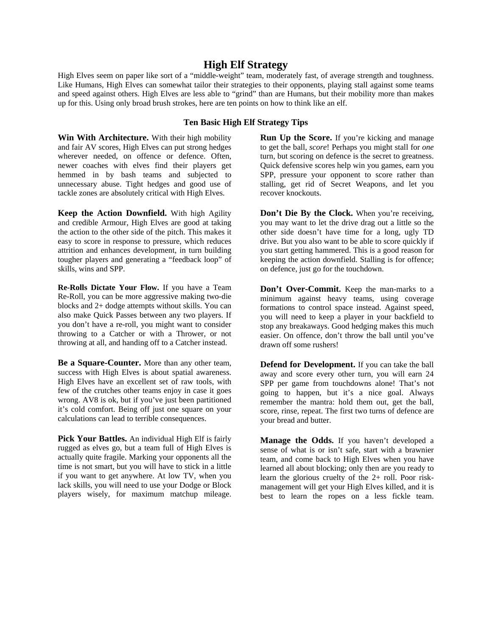## **High Elf Strategy**

High Elves seem on paper like sort of a "middle-weight" team, moderately fast, of average strength and toughness. Like Humans, High Elves can somewhat tailor their strategies to their opponents, playing stall against some teams and speed against others. High Elves are less able to "grind" than are Humans, but their mobility more than makes up for this. Using only broad brush strokes, here are ten points on how to think like an elf.

## **Ten Basic High Elf Strategy Tips**

**Win With Architecture.** With their high mobility and fair AV scores, High Elves can put strong hedges wherever needed, on offence or defence. Often, newer coaches with elves find their players get hemmed in by bash teams and subjected to unnecessary abuse. Tight hedges and good use of tackle zones are absolutely critical with High Elves.

**Keep the Action Downfield.** With high Agility and credible Armour, High Elves are good at taking the action to the other side of the pitch. This makes it easy to score in response to pressure, which reduces attrition and enhances development, in turn building tougher players and generating a "feedback loop" of skills, wins and SPP.

**Re-Rolls Dictate Your Flow.** If you have a Team Re-Roll, you can be more aggressive making two-die blocks and 2+ dodge attempts without skills. You can also make Quick Passes between any two players. If you don't have a re-roll, you might want to consider throwing to a Catcher or with a Thrower, or not throwing at all, and handing off to a Catcher instead.

**Be a Square-Counter.** More than any other team, success with High Elves is about spatial awareness. High Elves have an excellent set of raw tools, with few of the crutches other teams enjoy in case it goes wrong. AV8 is ok, but if you've just been partitioned it's cold comfort. Being off just one square on your calculations can lead to terrible consequences.

Pick Your Battles. An individual High Elf is fairly rugged as elves go, but a team full of High Elves is actually quite fragile. Marking your opponents all the time is not smart, but you will have to stick in a little if you want to get anywhere. At low TV, when you lack skills, you will need to use your Dodge or Block players wisely, for maximum matchup mileage. **Run Up the Score.** If you're kicking and manage to get the ball, *score*! Perhaps you might stall for *one* turn, but scoring on defence is the secret to greatness. Quick defensive scores help win you games, earn you SPP, pressure your opponent to score rather than stalling, get rid of Secret Weapons, and let you recover knockouts.

**Don't Die By the Clock.** When you're receiving, you may want to let the drive drag out a little so the other side doesn't have time for a long, ugly TD drive. But you also want to be able to score quickly if you start getting hammered. This is a good reason for keeping the action downfield. Stalling is for offence; on defence, just go for the touchdown.

Don't Over-Commit. Keep the man-marks to a minimum against heavy teams, using coverage formations to control space instead. Against speed, you will need to keep a player in your backfield to stop any breakaways. Good hedging makes this much easier. On offence, don't throw the ball until you've drawn off some rushers!

**Defend for Development.** If you can take the ball away and score every other turn, you will earn 24 SPP per game from touchdowns alone! That's not going to happen, but it's a nice goal. Always remember the mantra: hold them out, get the ball, score, rinse, repeat. The first two turns of defence are your bread and butter.

**Manage the Odds.** If you haven't developed a sense of what is or isn't safe, start with a brawnier team, and come back to High Elves when you have learned all about blocking; only then are you ready to learn the glorious cruelty of the 2+ roll. Poor riskmanagement will get your High Elves killed, and it is best to learn the ropes on a less fickle team.